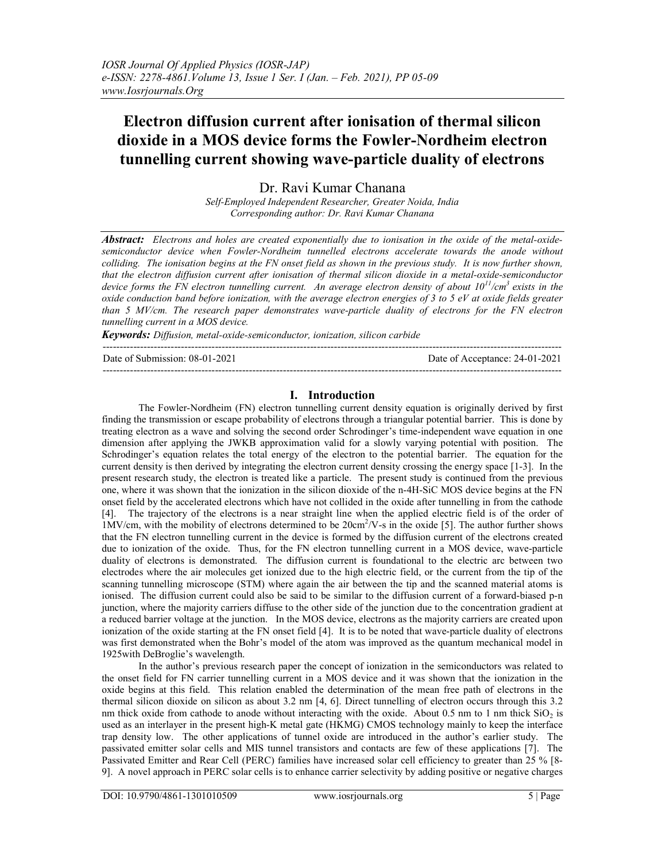# Electron diffusion current after ionisation of thermal silicon dioxide in a MOS device forms the Fowler-Nordheim electron tunnelling current showing wave-particle duality of electrons

Dr. Ravi Kumar Chanana

Self-Employed Independent Researcher, Greater Noida, India Corresponding author: Dr. Ravi Kumar Chanana

Abstract: Electrons and holes are created exponentially due to ionisation in the oxide of the metal-oxidesemiconductor device when Fowler-Nordheim tunnelled electrons accelerate towards the anode without colliding. The ionisation begins at the FN onset field as shown in the previous study. It is now further shown, that the electron diffusion current after ionisation of thermal silicon dioxide in a metal-oxide-semiconductor device forms the FN electron tunnelling current. An average electron density of about  $10^{11}/cm^3$  exists in the oxide conduction band before ionization, with the average electron energies of  $3$  to  $5$  eV at oxide fields greater than 5 MV/cm. The research paper demonstrates wave-particle duality of electrons for the FN electron tunnelling current in a MOS device.

Keywords: Diffusion, metal-oxide-semiconductor, ionization, silicon carbide

Date of Submission: 08-01-2021 Date of Acceptance: 24-01-2021

## I. Introduction

---------------------------------------------------------------------------------------------------------------------------------------

The Fowler-Nordheim (FN) electron tunnelling current density equation is originally derived by first finding the transmission or escape probability of electrons through a triangular potential barrier. This is done by treating electron as a wave and solving the second order Schrodinger's time-independent wave equation in one dimension after applying the JWKB approximation valid for a slowly varying potential with position. The Schrodinger's equation relates the total energy of the electron to the potential barrier. The equation for the current density is then derived by integrating the electron current density crossing the energy space [1-3]. In the present research study, the electron is treated like a particle. The present study is continued from the previous one, where it was shown that the ionization in the silicon dioxide of the n-4H-SiC MOS device begins at the FN onset field by the accelerated electrons which have not collided in the oxide after tunnelling in from the cathode [4]. The trajectory of the electrons is a near straight line when the applied electric field is of the order of 1MV/cm, with the mobility of electrons determined to be 20cm<sup>2</sup>/V-s in the oxide [5]. The author further shows that the FN electron tunnelling current in the device is formed by the diffusion current of the electrons created due to ionization of the oxide. Thus, for the FN electron tunnelling current in a MOS device, wave-particle duality of electrons is demonstrated. The diffusion current is foundational to the electric arc between two electrodes where the air molecules get ionized due to the high electric field, or the current from the tip of the scanning tunnelling microscope (STM) where again the air between the tip and the scanned material atoms is ionised. The diffusion current could also be said to be similar to the diffusion current of a forward-biased p-n junction, where the majority carriers diffuse to the other side of the junction due to the concentration gradient at a reduced barrier voltage at the junction. In the MOS device, electrons as the majority carriers are created upon ionization of the oxide starting at the FN onset field [4]. It is to be noted that wave-particle duality of electrons was first demonstrated when the Bohr's model of the atom was improved as the quantum mechanical model in 1925with DeBroglie's wavelength.

In the author's previous research paper the concept of ionization in the semiconductors was related to the onset field for FN carrier tunnelling current in a MOS device and it was shown that the ionization in the oxide begins at this field. This relation enabled the determination of the mean free path of electrons in the thermal silicon dioxide on silicon as about 3.2 nm [4, 6]. Direct tunnelling of electron occurs through this 3.2 nm thick oxide from cathode to anode without interacting with the oxide. About 0.5 nm to 1 nm thick  $SiO<sub>2</sub>$  is used as an interlayer in the present high-K metal gate (HKMG) CMOS technology mainly to keep the interface trap density low. The other applications of tunnel oxide are introduced in the author's earlier study. The passivated emitter solar cells and MIS tunnel transistors and contacts are few of these applications [7]. The Passivated Emitter and Rear Cell (PERC) families have increased solar cell efficiency to greater than 25 % [8- 9]. A novel approach in PERC solar cells is to enhance carrier selectivity by adding positive or negative charges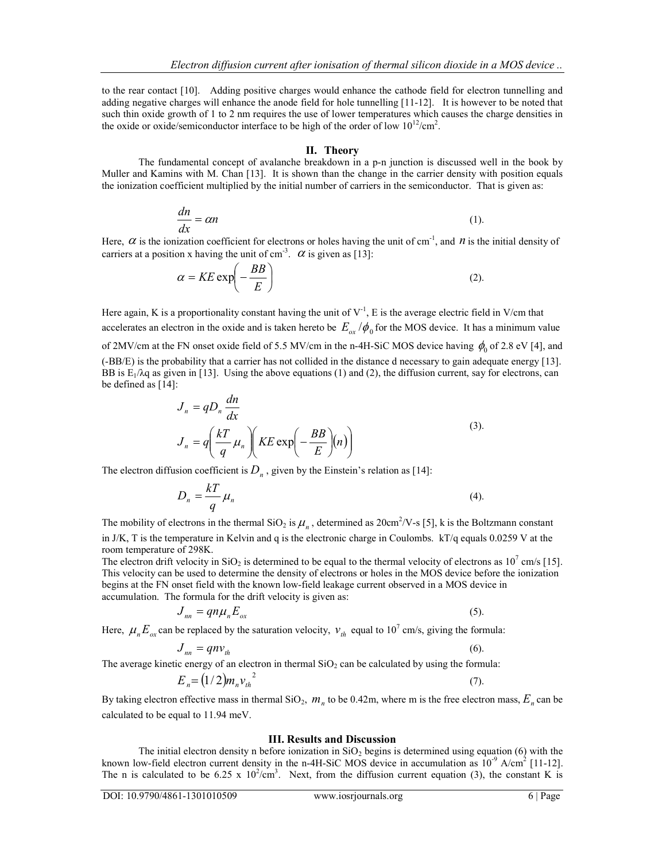to the rear contact [10]. Adding positive charges would enhance the cathode field for electron tunnelling and adding negative charges will enhance the anode field for hole tunnelling [11-12]. It is however to be noted that such thin oxide growth of 1 to 2 nm requires the use of lower temperatures which causes the charge densities in the oxide or oxide/semiconductor interface to be high of the order of low  $10^{12}/\text{cm}^2$ .

### II. Theory

The fundamental concept of avalanche breakdown in a p-n junction is discussed well in the book by Muller and Kamins with M. Chan [13]. It is shown than the change in the carrier density with position equals the ionization coefficient multiplied by the initial number of carriers in the semiconductor. That is given as:

$$
\frac{dn}{dx} = \alpha n \tag{1}.
$$

Here,  $\alpha$  is the ionization coefficient for electrons or holes having the unit of cm<sup>-1</sup>, and  $n$  is the initial density of carriers at a position x having the unit of cm<sup>-3</sup>.  $\alpha$  is given as [13]:

$$
\alpha = KE \exp\left(-\frac{BB}{E}\right) \tag{2}
$$

Here again, K is a proportionality constant having the unit of  $V<sup>-1</sup>$ , E is the average electric field in V/cm that accelerates an electron in the oxide and is taken hereto be  $E_{ox} / \phi_0$  for the MOS device. It has a minimum value of 2MV/cm at the FN onset oxide field of 5.5 MV/cm in the n-4H-SiC MOS device having  $\phi_0$  of 2.8 eV [4], and (-BB/E) is the probability that a carrier has not collided in the distance d necessary to gain adequate energy [13]. BB is  $E_1/\lambda q$  as given in [13]. Using the above equations (1) and (2), the diffusion current, say for electrons, can be defined as [14]: The fundamental concept of avalanche breakdown in a p-n junction is discussed well in the book by<br>
Muller and Kamina with M. Chan [13]. It is shown than the change in the carrier density with position equals<br>
the ionizati

$$
J_n = qD_n \frac{dn}{dx}
$$
  
\n
$$
J_n = q \left( \frac{kT}{q} \mu_n \right) \left( KE \exp \left( -\frac{BB}{E} \right) \mu \right)
$$
\n(3).

The electron diffusion coefficient is  $D_n$ , given by the Einstein's relation as [14]:

$$
D_n = \frac{kT}{q} \mu_n \tag{4}
$$

The mobility of electrons in the thermal SiO<sub>2</sub> is  $\mu_n$ , determined as 20cm<sup>2</sup>/V-s [5], k is the Boltzmann constant in J/K, T is the temperature in Kelvin and q is the electronic charge in Coulombs. kT/q equals 0.0259 V at the room temperature of 298K.

The electron drift velocity in SiO<sub>2</sub> is determined to be equal to the thermal velocity of electrons as  $10^7$  cm/s [15]. This velocity can be used to determine the density of electrons or holes in the MOS device before the ionization begins at the FN onset field with the known low-field leakage current observed in a MOS device in accumulation. The formula for the drift velocity is given as:

$$
J_{nn} = qn\mu_n E_{ox}
$$
 (5).

Here,  $\mu_n E_{\alpha}$  can be replaced by the saturation velocity,  $v_{th}$  equal to 10<sup>7</sup> cm/s, giving the formula:

$$
J_{nn} = qn v_{th} \tag{6}
$$

The average kinetic energy of an electron in thermal  $SiO<sub>2</sub>$  can be calculated by using the formula:

$$
E_n = (1/2)m_n v_{th}^2
$$
 (7).

By taking electron effective mass in thermal SiO<sub>2</sub>,  $m<sub>n</sub>$  to be 0.42m, where m is the free electron mass,  $E<sub>n</sub>$  can be calculated to be equal to 11.94 meV.

#### III. Results and Discussion

The initial electron density n before ionization in  $SiO<sub>2</sub>$  begins is determined using equation (6) with the known low-field electron current density in the n-4H-SiC MOS device in accumulation as  $10^{-9}$  A/cm<sup>2</sup> [11-12]. The n is calculated to be 6.25 x  $10^2$ /cm<sup>3</sup>. Next, from the diffusion current equation (3), the constant K is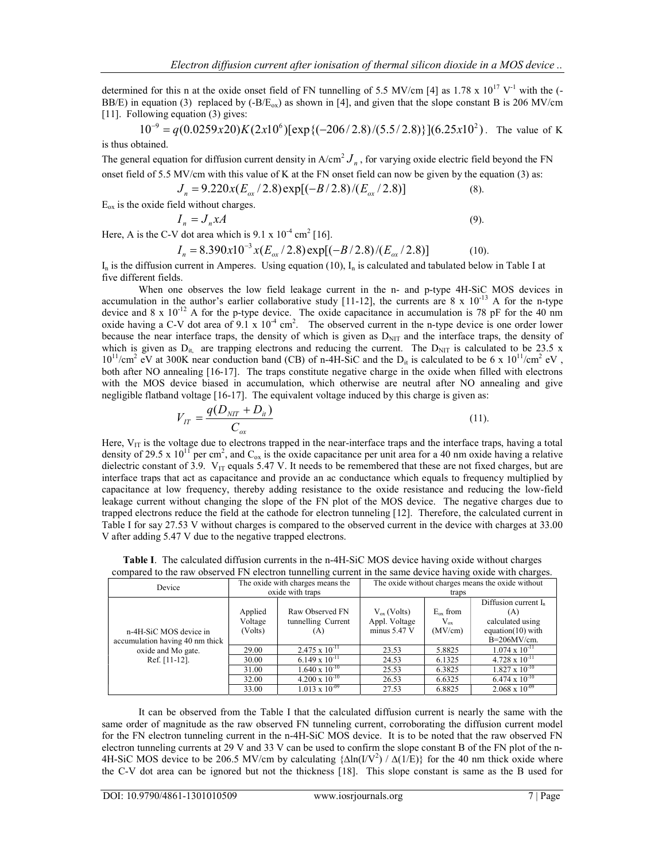determined for this n at the oxide onset field of FN tunnelling of 5.5 MV/cm [4] as 1.78 x  $10^{17}$  V<sup>-1</sup> with the (-BB/E) in equation (3) replaced by  $(-B/E_{ox})$  as shown in [4], and given that the slope constant B is 206 MV/cm [11]. Following equation (3) gives:

 $10^{-9} = q(0.0259 \times 20) K(2 \times 10^{6}) [\exp{(-206/2.8)/(5.5/2.8)}] (6.25 \times 10^{2})$ . The value of K is thus obtained.

The general equation for diffusion current density in  $A/cm^2 J_n$ , for varying oxide electric field beyond the FN onset field of 5.5 MV/cm with this value of K at the FN onset field can now be given by the equation (3) as:

$$
J_n = 9.220x(E_{ox}/2.8) \exp[(-B/2.8)/(E_{ox}/2.8)] \tag{8}.
$$

 $E_{ox}$  is the oxide field without charges.

$$
I_n = J_n x A \tag{9}.
$$

Here, A is the C-V dot area which is  $9.1 \times 10^{-4}$  cm<sup>2</sup> [16].

$$
I_n = 8.390x10^{-3}x(E_{ox}/2.8) \exp[(-B/2.8)/(E_{ox}/2.8)] \tag{10}
$$

 $I_n$  is the diffusion current in Amperes. Using equation (10),  $I_n$  is calculated and tabulated below in Table I at five different fields.

When one observes the low field leakage current in the n- and p-type 4H-SiC MOS devices in accumulation in the author's earlier collaborative study [11-12], the currents are  $8 \times 10^{-13}$  A for the n-type device and 8 x  $10^{-12}$  A for the p-type device. The oxide capacitance in accumulation is 78 pF for the 40 nm oxide having a C-V dot area of  $9.1 \times 10^{-4}$  cm<sup>2</sup>. The observed current in the n-type device is one order lower because the near interface traps, the density of which is given as  $D<sub>NIT</sub>$  and the interface traps, the density of which is given as  $D_{it}$  are trapping electrons and reducing the current. The  $D_{NIT}$  is calculated to be 23.5 x  $10^{11}/\text{cm}^2$  eV at 300K near conduction band (CB) of n-4H-SiC and the D<sub>it</sub> is calculated to be 6 x  $10^{11}/\text{cm}^2$  eV, both after NO annealing [16-17]. The traps constitute negative charge in the oxide when filled with electrons with the MOS device biased in accumulation, which otherwise are neutral after NO annealing and give negligible flatband voltage [16-17]. The equivalent voltage induced by this charge is given as:

$$
V_{IT} = \frac{q(D_{NIT} + D_{ii})}{C_{ox}}
$$
 (11).

Here,  $V_{IT}$  is the voltage due to electrons trapped in the near-interface traps and the interface traps, having a total density of 29.5 x  $10^{11}$  per cm<sup>2</sup>, and C<sub>ox</sub> is the oxide capacitance per unit area for a 40 nm oxide having a relative dielectric constant of 3.9.  $V_{IT}$  equals 5.47 V. It needs to be remembered that these are not fixed charges, but are interface traps that act as capacitance and provide an ac conductance which equals to frequency multiplied by capacitance at low frequency, thereby adding resistance to the oxide resistance and reducing the low-field leakage current without changing the slope of the FN plot of the MOS device. The negative charges due to trapped electrons reduce the field at the cathode for electron tunneling [12]. Therefore, the calculated current in Table I for say 27.53 V without charges is compared to the observed current in the device with charges at 33.00 V after adding 5.47 V due to the negative trapped electrons.

| Device                                                                                              | The oxide with charges means the |                                              | The oxide without charges means the oxide without   |                                            |                                                                                              |
|-----------------------------------------------------------------------------------------------------|----------------------------------|----------------------------------------------|-----------------------------------------------------|--------------------------------------------|----------------------------------------------------------------------------------------------|
|                                                                                                     | oxide with traps                 |                                              | traps                                               |                                            |                                                                                              |
| n-4H-SiC MOS device in<br>accumulation having 40 nm thick<br>oxide and Mo gate.<br>Ref. $[11-12]$ . | Applied<br>Voltage<br>(Volts)    | Raw Observed FN<br>tunnelling Current<br>(A) | $V_{ox}$ (Volts)<br>Appl. Voltage<br>minus $5.47$ V | $E_{\alpha x}$ from<br>$V_{ox}$<br>(MV/cm) | Diffusion current $I_n$<br>(A)<br>calculated using<br>equation $(10)$ with<br>$B=206MV/cm$ . |
|                                                                                                     | 29.00                            | $2.475 \times 10^{-11}$                      | 23.53                                               | 5.8825                                     | $1.074 \times 10^{-11}$                                                                      |
|                                                                                                     | 30.00                            | $6.149 \times 10^{-11}$                      | 24.53                                               | 6.1325                                     | $4.728 \times 10^{-11}$                                                                      |
|                                                                                                     | 31.00                            | $1.640 \times 10^{-10}$                      | 25.53                                               | 6.3825                                     | $1.827 \times 10^{-10}$                                                                      |
|                                                                                                     | 32.00                            | $4.200 \times 10^{-10}$                      | 26.53                                               | 6.6325                                     | $6.474 \times 10^{-10}$                                                                      |
|                                                                                                     | 33.00                            | $1.013 \times 10^{-09}$                      | 27.53                                               | 6.8825                                     | $2.068 \times 10^{-09}$                                                                      |

Table I. The calculated diffusion currents in the n-4H-SiC MOS device having oxide without charges compared to the raw observed FN electron tunnelling current in the same device having oxide with charges.

It can be observed from the Table I that the calculated diffusion current is nearly the same with the same order of magnitude as the raw observed FN tunneling current, corroborating the diffusion current model for the FN electron tunneling current in the n-4H-SiC MOS device. It is to be noted that the raw observed FN electron tunneling currents at 29 V and 33 V can be used to confirm the slope constant B of the FN plot of the n-4H-SiC MOS device to be 206.5 MV/cm by calculating  $\{\Delta \ln(I/V^2) / \Delta(1/E)\}\$  for the 40 nm thick oxide where the C-V dot area can be ignored but not the thickness [18]. This slope constant is same as the B used for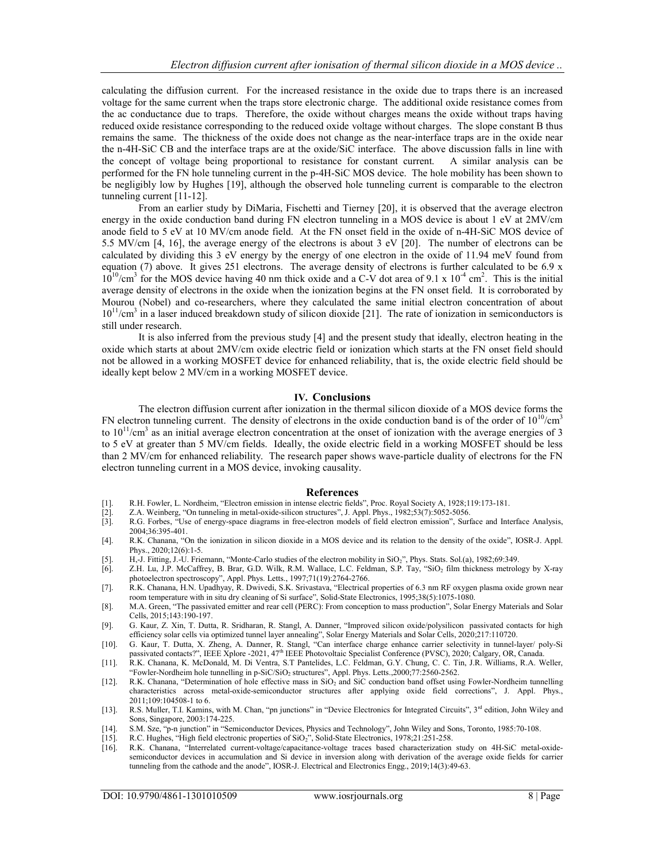calculating the diffusion current. For the increased resistance in the oxide due to traps there is an increased voltage for the same current when the traps store electronic charge. The additional oxide resistance comes from the ac conductance due to traps. Therefore, the oxide without charges means the oxide without traps having reduced oxide resistance corresponding to the reduced oxide voltage without charges. The slope constant B thus remains the same. The thickness of the oxide does not change as the near-interface traps are in the oxide near the n-4H-SiC CB and the interface traps are at the oxide/SiC interface. The above discussion falls in line with the concept of voltage being proportional to resistance for constant current. A similar analysis can be performed for the FN hole tunneling current in the p-4H-SiC MOS device. The hole mobility has been shown to be negligibly low by Hughes [19], although the observed hole tunneling current is comparable to the electron tunneling current [11-12].

From an earlier study by DiMaria, Fischetti and Tierney [20], it is observed that the average electron energy in the oxide conduction band during FN electron tunneling in a MOS device is about 1 eV at 2MV/cm anode field to 5 eV at 10 MV/cm anode field. At the FN onset field in the oxide of n-4H-SiC MOS device of 5.5 MV/cm [4, 16], the average energy of the electrons is about 3 eV [20]. The number of electrons can be calculated by dividing this 3 eV energy by the energy of one electron in the oxide of 11.94 meV found from equation (7) above. It gives 251 electrons. The average density of electrons is further calculated to be 6.9 x  $10^{10}/\text{cm}^3$  for the MOS device having 40 nm thick oxide and a C-V dot area of 9.1 x  $10^{-4}$  cm<sup>2</sup>. This is the initial average density of electrons in the oxide when the ionization begins at the FN onset field. It is corroborated by Mourou (Nobel) and co-researchers, where they calculated the same initial electron concentration of about  $10^{11}/\text{cm}^3$  in a laser induced breakdown study of silicon dioxide [21]. The rate of ionization in semiconductors is still under research.

It is also inferred from the previous study [4] and the present study that ideally, electron heating in the oxide which starts at about 2MV/cm oxide electric field or ionization which starts at the FN onset field should not be allowed in a working MOSFET device for enhanced reliability, that is, the oxide electric field should be ideally kept below 2 MV/cm in a working MOSFET device.

#### IV. Conclusions

The electron diffusion current after ionization in the thermal silicon dioxide of a MOS device forms the FN electron tunneling current. The density of electrons in the oxide conduction band is of the order of  $10^{10}/cm<sup>3</sup>$ to  $10^{11}/\text{cm}^3$  as an initial average electron concentration at the onset of ionization with the average energies of 3 to 5 eV at greater than 5 MV/cm fields. Ideally, the oxide electric field in a working MOSFET should be less than 2 MV/cm for enhanced reliability. The research paper shows wave-particle duality of electrons for the FN electron tunneling current in a MOS device, invoking causality.

#### References

- 
- Z.A. Weinberg, "On tunneling in metal-oxide-silicon structures", J. Appl. Phys., 1982;53(7):5052-5056.
- 11. R.H. Fowler, L. Nordheim, "Electron emission in intense electric fields", Proc. Royal Society A, 1928;119:173-181.<br>
2. A. Weinberg, "On tunneling in metal-oxide-silicon structures", J. Appl. Phys., 1982;53(7):5052-5056 [3]. R.G. Forbes, "Use of energy-space diagrams in free-electron models of field electron emission", Surface and Interface Analysis, 2004;36:395-401.
- [4]. R.K. Chanana, "On the ionization in silicon dioxide in a MOS device and its relation to the density of the oxide", IOSR-J. Appl. Phys., 2020;12(6):1-5.
- 
- [5]. H,-J. Fitting, J.-U. Friemann, "Monte-Carlo studies of the electron mobility in SiO<sub>2</sub>", Phys. Stats. Sol.(a), 1982;69:349.<br>[6]. Z.H. Lu, J.P. McCaffrey, B. Brar, G.D. Wilk, R.M. Wallace, L.C. Feldman, S.P. Tay, "SiO<sub></sub> Z.H. Lu, J.P. McCaffrey, B. Brar, G.D. Wilk, R.M. Wallace, L.C. Feldman, S.P. Tay, "SiO<sub>2</sub> film thickness metrology by X-ray photoelectron spectroscopy", Appl. Phys. Letts., 1997;71(19):2764-2766.
- [7]. R.K. Chanana, H.N. Upadhyay, R. Dwivedi, S.K. Srivastava, "Electrical properties of 6.3 nm RF oxygen plasma oxide grown near room temperature with in situ dry cleaning of Si surface", Solid-State Electronics, 1995;38(5):1075-1080.
- [8]. M.A. Green, "The passivated emitter and rear cell (PERC): From conception to mass production", Solar Energy Materials and Solar Cells, 2015;143:190-197.
- [9]. G. Kaur, Z. Xin, T. Dutta, R. Sridharan, R. Stangl, A. Danner, "Improved silicon oxide/polysilicon passivated contacts for high efficiency solar cells via optimized tunnel layer annealing", Solar Energy Materials and Solar Cells, 2020;217:110720.
- [10]. G. Kaur, T. Dutta, X. Zheng, A. Danner, R. Stangl, "Can interface charge enhance carrier selectivity in tunnel-layer/ poly-Si passivated contacts?", IEEE Xplore -2021, 47th IEEE Photovoltaic Specialist Conference (PVSC), 2020; Calgary, OR, Canada.
- [11]. R.K. Chanana, K. McDonald, M. Di Ventra, S.T Pantelides, L.C. Feldman, G.Y. Chung, C. C. Tin, J.R. Williams, R.A. Weller, "Fowler-Nordheim hole tunnelling in p-SiC/SiO<sub>2</sub> structures", Appl. Phys. Letts.,2000;77:2560-2562.
- [12]. R.K. Chanana, "Determination of hole effective mass in SiO<sub>2</sub> and SiC conduction band offset using Fowler-Nordheim tunnelling characteristics across metal-oxide-semiconductor structures after applying oxide field corrections", J. Appl. Phys., 2011;109:104508-1 to 6.
- [13]. R.S. Muller, T.I. Kamins, with M. Chan, "pn junctions" in "Device Electronics for Integrated Circuits", 3<sup>rd</sup> edition, John Wiley and Sons, Singapore, 2003:174-225.
- [14]. S.M. Sze, "p-n junction" in "Semiconductor Devices, Physics and Technology", John Wiley and Sons, Toronto, 1985:70-108.
- [15]. R.C. Hughes, "High field electronic properties of SiO2", Solid-State Electronics, 1978;21:251-258.
- [16]. R.K. Chanana, "Interrelated current-voltage/capacitance-voltage traces based characterization study on 4H-SiC metal-oxidesemiconductor devices in accumulation and Si device in inversion along with derivation of the average oxide fields for carrier tunneling from the cathode and the anode", IOSR-J. Electrical and Electronics Engg., 2019;14(3):49-63.